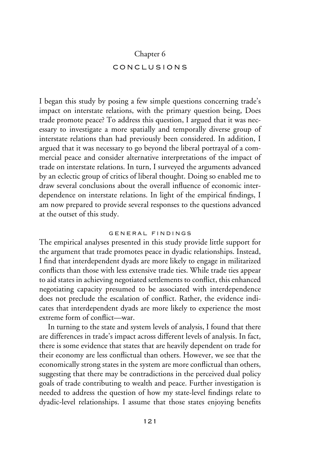### Chapter 6

### conclusions

I began this study by posing a few simple questions concerning trade's impact on interstate relations, with the primary question being, Does trade promote peace? To address this question, I argued that it was necessary to investigate a more spatially and temporally diverse group of interstate relations than had previously been considered. In addition, I argued that it was necessary to go beyond the liberal portrayal of a commercial peace and consider alternative interpretations of the impact of trade on interstate relations. In turn, I surveyed the arguments advanced by an eclectic group of critics of liberal thought. Doing so enabled me to draw several conclusions about the overall influence of economic interdependence on interstate relations. In light of the empirical findings, I am now prepared to provide several responses to the questions advanced at the outset of this study.

### general findings

The empirical analyses presented in this study provide little support for the argument that trade promotes peace in dyadic relationships. Instead, I find that interdependent dyads are more likely to engage in militarized conflicts than those with less extensive trade ties. While trade ties appear to aid states in achieving negotiated settlements to conflict, this enhanced negotiating capacity presumed to be associated with interdependence does not preclude the escalation of conflict. Rather, the evidence indicates that interdependent dyads are more likely to experience the most extreme form of conflict—war.

In turning to the state and system levels of analysis, I found that there are differences in trade's impact across different levels of analysis. In fact, there is some evidence that states that are heavily dependent on trade for their economy are less conflictual than others. However, we see that the economically strong states in the system are more conflictual than others, suggesting that there may be contradictions in the perceived dual policy goals of trade contributing to wealth and peace. Further investigation is needed to address the question of how my state-level findings relate to dyadic-level relationships. I assume that those states enjoying benefits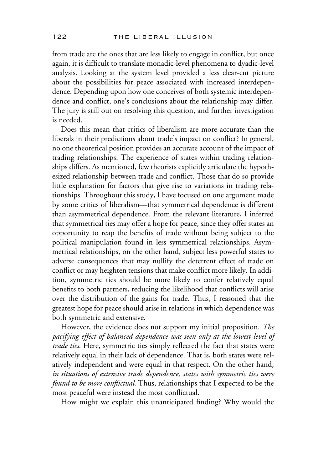from trade are the ones that are less likely to engage in conflict, but once again, it is difficult to translate monadic-level phenomena to dyadic-level analysis. Looking at the system level provided a less clear-cut picture about the possibilities for peace associated with increased interdependence. Depending upon how one conceives of both systemic interdependence and conflict, one's conclusions about the relationship may differ. The jury is still out on resolving this question, and further investigation is needed.

Does this mean that critics of liberalism are more accurate than the liberals in their predictions about trade's impact on conflict? In general, no one theoretical position provides an accurate account of the impact of trading relationships. The experience of states within trading relationships differs. As mentioned, few theorists explicitly articulate the hypothesized relationship between trade and conflict. Those that do so provide little explanation for factors that give rise to variations in trading relationships. Throughout this study, I have focused on one argument made by some critics of liberalism—that symmetrical dependence is different than asymmetrical dependence. From the relevant literature, I inferred that symmetrical ties may offer a hope for peace, since they offer states an opportunity to reap the benefits of trade without being subject to the political manipulation found in less symmetrical relationships. Asymmetrical relationships, on the other hand, subject less powerful states to adverse consequences that may nullify the deterrent effect of trade on conflict or may heighten tensions that make conflict more likely. In addition, symmetric ties should be more likely to confer relatively equal benefits to both partners, reducing the likelihood that conflicts will arise over the distribution of the gains for trade. Thus, I reasoned that the greatest hope for peace should arise in relations in which dependence was both symmetric and extensive.

However, the evidence does not support my initial proposition. *The pacifying effect of balanced dependence was seen only at the lowest level of trade ties.* Here, symmetric ties simply reflected the fact that states were relatively equal in their lack of dependence. That is, both states were relatively independent and were equal in that respect. On the other hand, *in situations of extensive trade dependence, states with symmetric ties were found to be more conflictual*. Thus, relationships that I expected to be the most peaceful were instead the most conflictual.

How might we explain this unanticipated finding? Why would the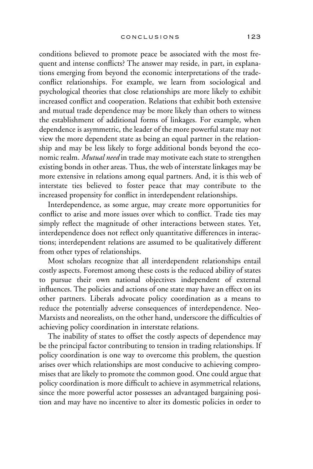conditions believed to promote peace be associated with the most frequent and intense conflicts? The answer may reside, in part, in explanations emerging from beyond the economic interpretations of the tradeconflict relationships. For example, we learn from sociological and psychological theories that close relationships are more likely to exhibit increased conflict and cooperation. Relations that exhibit both extensive and mutual trade dependence may be more likely than others to witness the establishment of additional forms of linkages. For example, when dependence is asymmetric, the leader of the more powerful state may not view the more dependent state as being an equal partner in the relationship and may be less likely to forge additional bonds beyond the economic realm. *Mutual need* in trade may motivate each state to strengthen existing bonds in other areas. Thus, the web of interstate linkages may be more extensive in relations among equal partners. And, it is this web of interstate ties believed to foster peace that may contribute to the increased propensity for conflict in interdependent relationships.

Interdependence, as some argue, may create more opportunities for conflict to arise and more issues over which to conflict. Trade ties may simply reflect the magnitude of other interactions between states. Yet, interdependence does not reflect only quantitative differences in interactions; interdependent relations are assumed to be qualitatively different from other types of relationships.

Most scholars recognize that all interdependent relationships entail costly aspects. Foremost among these costs is the reduced ability of states to pursue their own national objectives independent of external influences. The policies and actions of one state may have an effect on its other partners. Liberals advocate policy coordination as a means to reduce the potentially adverse consequences of interdependence. Neo-Marxists and neorealists, on the other hand, underscore the difficulties of achieving policy coordination in interstate relations.

The inability of states to offset the costly aspects of dependence may be the principal factor contributing to tension in trading relationships. If policy coordination is one way to overcome this problem, the question arises over which relationships are most conducive to achieving compromises that are likely to promote the common good. One could argue that policy coordination is more difficult to achieve in asymmetrical relations, since the more powerful actor possesses an advantaged bargaining position and may have no incentive to alter its domestic policies in order to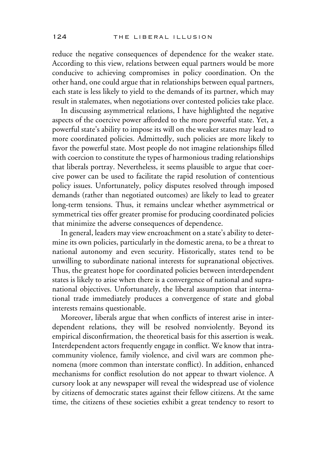reduce the negative consequences of dependence for the weaker state. According to this view, relations between equal partners would be more conducive to achieving compromises in policy coordination. On the other hand, one could argue that in relationships between equal partners, each state is less likely to yield to the demands of its partner, which may result in stalemates, when negotiations over contested policies take place.

In discussing asymmetrical relations, I have highlighted the negative aspects of the coercive power afforded to the more powerful state. Yet, a powerful state's ability to impose its will on the weaker states may lead to more coordinated policies. Admittedly, such policies are more likely to favor the powerful state. Most people do not imagine relationships filled with coercion to constitute the types of harmonious trading relationships that liberals portray. Nevertheless, it seems plausible to argue that coercive power can be used to facilitate the rapid resolution of contentious policy issues. Unfortunately, policy disputes resolved through imposed demands (rather than negotiated outcomes) are likely to lead to greater long-term tensions. Thus, it remains unclear whether asymmetrical or symmetrical ties offer greater promise for producing coordinated policies that minimize the adverse consequences of dependence.

In general, leaders may view encroachment on a state's ability to determine its own policies, particularly in the domestic arena, to be a threat to national autonomy and even security. Historically, states tend to be unwilling to subordinate national interests for supranational objectives. Thus, the greatest hope for coordinated policies between interdependent states is likely to arise when there is a convergence of national and supranational objectives. Unfortunately, the liberal assumption that international trade immediately produces a convergence of state and global interests remains questionable.

Moreover, liberals argue that when conflicts of interest arise in interdependent relations, they will be resolved nonviolently. Beyond its empirical disconfirmation, the theoretical basis for this assertion is weak. Interdependent actors frequently engage in conflict. We know that intracommunity violence, family violence, and civil wars are common phenomena (more common than interstate conflict). In addition, enhanced mechanisms for conflict resolution do not appear to thwart violence. A cursory look at any newspaper will reveal the widespread use of violence by citizens of democratic states against their fellow citizens. At the same time, the citizens of these societies exhibit a great tendency to resort to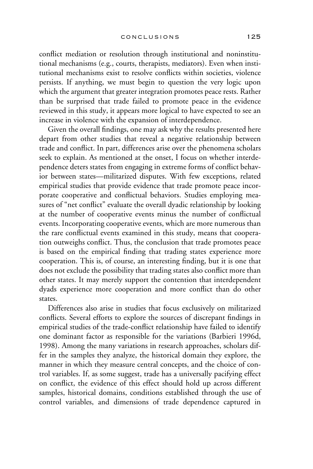conflict mediation or resolution through institutional and noninstitutional mechanisms (e.g., courts, therapists, mediators). Even when institutional mechanisms exist to resolve conflicts within societies, violence persists. If anything, we must begin to question the very logic upon which the argument that greater integration promotes peace rests. Rather than be surprised that trade failed to promote peace in the evidence reviewed in this study, it appears more logical to have expected to see an increase in violence with the expansion of interdependence.

Given the overall findings, one may ask why the results presented here depart from other studies that reveal a negative relationship between trade and conflict. In part, differences arise over the phenomena scholars seek to explain. As mentioned at the onset, I focus on whether interdependence deters states from engaging in extreme forms of conflict behavior between states—militarized disputes. With few exceptions, related empirical studies that provide evidence that trade promote peace incorporate cooperative and conflictual behaviors. Studies employing measures of "net conflict" evaluate the overall dyadic relationship by looking at the number of cooperative events minus the number of conflictual events. Incorporating cooperative events, which are more numerous than the rare conflictual events examined in this study, means that cooperation outweighs conflict. Thus, the conclusion that trade promotes peace is based on the empirical finding that trading states experience more cooperation. This is, of course, an interesting finding, but it is one that does not exclude the possibility that trading states also conflict more than other states. It may merely support the contention that interdependent dyads experience more cooperation and more conflict than do other states.

Differences also arise in studies that focus exclusively on militarized conflicts. Several efforts to explore the sources of discrepant findings in empirical studies of the trade-conflict relationship have failed to identify one dominant factor as responsible for the variations (Barbieri 1996d, 1998). Among the many variations in research approaches, scholars differ in the samples they analyze, the historical domain they explore, the manner in which they measure central concepts, and the choice of control variables. If, as some suggest, trade has a universally pacifying effect on conflict, the evidence of this effect should hold up across different samples, historical domains, conditions established through the use of control variables, and dimensions of trade dependence captured in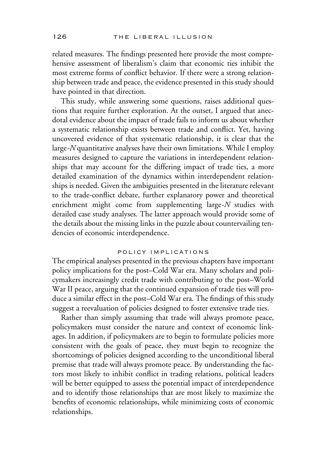related measures. The findings presented here provide the most comprehensive assessment of liberalism's claim that economic ties inhibit the most extreme forms of conflict behavior. If there were a strong relationship between trade and peace, the evidence presented in this study should have pointed in that direction.

This study, while answering some questions, raises additional questions that require further exploration. At the outset, I argued that anecdotal evidence about the impact of trade fails to inform us about whether a systematic relationship exists between trade and conflict. Yet, having uncovered evidence of that systematic relationship, it is clear that the large*-N* quantitative analyses have their own limitations. While I employ measures designed to capture the variations in interdependent relationships that may account for the differing impact of trade ties, a more detailed examination of the dynamics within interdependent relationships is needed. Given the ambiguities presented in the literature relevant to the trade-conflict debate, further explanatory power and theoretical enrichment might come from supplementing large*-N* studies with detailed case study analyses. The latter approach would provide some of the details about the missing links in the puzzle about countervailing tendencies of economic interdependence.

## policy implications

The empirical analyses presented in the previous chapters have important policy implications for the post–Cold War era. Many scholars and policymakers increasingly credit trade with contributing to the post–World War II peace, arguing that the continued expansion of trade ties will produce a similar effect in the post–Cold War era. The findings of this study suggest a reevaluation of policies designed to foster extensive trade ties.

Rather than simply assuming that trade will always promote peace, policymakers must consider the nature and context of economic linkages. In addition, if policymakers are to begin to formulate policies more consistent with the goals of peace, they must begin to recognize the shortcomings of policies designed according to the unconditional liberal premise that trade will always promote peace. By understanding the factors most likely to inhibit conflict in trading relations, political leaders will be better equipped to assess the potential impact of interdependence and to identify those relationships that are most likely to maximize the benefits of economic relationships, while minimizing costs of economic relationships.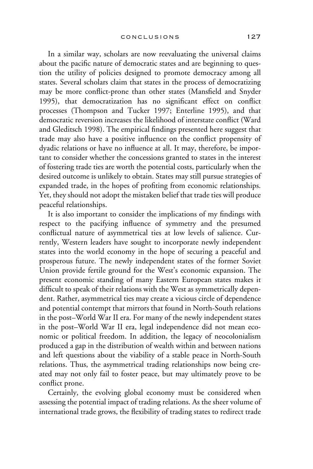In a similar way, scholars are now reevaluating the universal claims about the pacific nature of democratic states and are beginning to question the utility of policies designed to promote democracy among all states. Several scholars claim that states in the process of democratizing may be more conflict-prone than other states (Mansfield and Snyder 1995), that democratization has no significant effect on conflict processes (Thompson and Tucker 1997; Enterline 1995), and that democratic reversion increases the likelihood of interstate conflict (Ward and Gleditsch 1998). The empirical findings presented here suggest that trade may also have a positive influence on the conflict propensity of dyadic relations or have no influence at all. It may, therefore, be important to consider whether the concessions granted to states in the interest of fostering trade ties are worth the potential costs, particularly when the desired outcome is unlikely to obtain. States may still pursue strategies of expanded trade, in the hopes of profiting from economic relationships. Yet, they should not adopt the mistaken belief that trade ties will produce peaceful relationships.

It is also important to consider the implications of my findings with respect to the pacifying influence of symmetry and the presumed conflictual nature of asymmetrical ties at low levels of salience. Currently, Western leaders have sought to incorporate newly independent states into the world economy in the hope of securing a peaceful and prosperous future. The newly independent states of the former Soviet Union provide fertile ground for the West's economic expansion. The present economic standing of many Eastern European states makes it difficult to speak of their relations with the West as symmetrically dependent. Rather, asymmetrical ties may create a vicious circle of dependence and potential contempt that mirrors that found in North-South relations in the post–World War II era. For many of the newly independent states in the post–World War II era, legal independence did not mean economic or political freedom. In addition, the legacy of neocolonialism produced a gap in the distribution of wealth within and between nations and left questions about the viability of a stable peace in North-South relations. Thus, the asymmetrical trading relationships now being created may not only fail to foster peace, but may ultimately prove to be conflict prone.

Certainly, the evolving global economy must be considered when assessing the potential impact of trading relations. As the sheer volume of international trade grows, the flexibility of trading states to redirect trade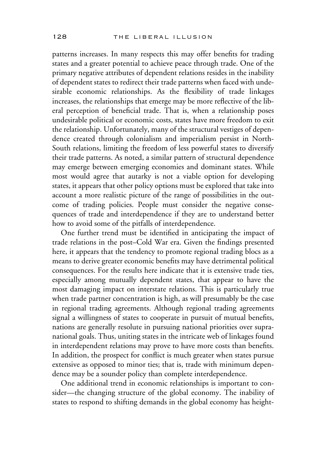patterns increases. In many respects this may offer benefits for trading states and a greater potential to achieve peace through trade. One of the primary negative attributes of dependent relations resides in the inability of dependent states to redirect their trade patterns when faced with undesirable economic relationships. As the flexibility of trade linkages increases, the relationships that emerge may be more reflective of the liberal perception of beneficial trade. That is, when a relationship poses undesirable political or economic costs, states have more freedom to exit the relationship. Unfortunately, many of the structural vestiges of dependence created through colonialism and imperialism persist in North-South relations, limiting the freedom of less powerful states to diversify their trade patterns. As noted, a similar pattern of structural dependence may emerge between emerging economies and dominant states. While most would agree that autarky is not a viable option for developing states, it appears that other policy options must be explored that take into account a more realistic picture of the range of possibilities in the outcome of trading policies. People must consider the negative consequences of trade and interdependence if they are to understand better how to avoid some of the pitfalls of interdependence.

One further trend must be identified in anticipating the impact of trade relations in the post-Cold War era. Given the findings presented here, it appears that the tendency to promote regional trading blocs as a means to derive greater economic benefits may have detrimental political consequences. For the results here indicate that it is extensive trade ties, especially among mutually dependent states, that appear to have the most damaging impact on interstate relations. This is particularly true when trade partner concentration is high, as will presumably be the case in regional trading agreements. Although regional trading agreements signal a willingness of states to cooperate in pursuit of mutual benefits, nations are generally resolute in pursuing national priorities over supranational goals. Thus, uniting states in the intricate web of linkages found in interdependent relations may prove to have more costs than benefits. In addition, the prospect for conflict is much greater when states pursue extensive as opposed to minor ties; that is, trade with minimum dependence may be a sounder policy than complete interdependence.

One additional trend in economic relationships is important to consider—the changing structure of the global economy. The inability of states to respond to shifting demands in the global economy has height-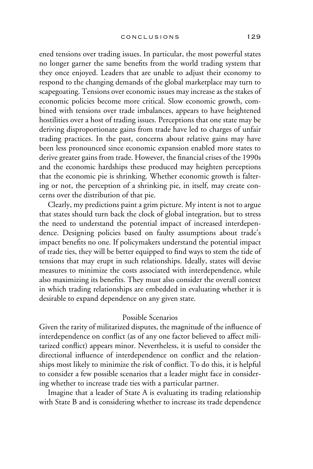ened tensions over trading issues. In particular, the most powerful states no longer garner the same benefits from the world trading system that they once enjoyed. Leaders that are unable to adjust their economy to respond to the changing demands of the global marketplace may turn to scapegoating. Tensions over economic issues may increase as the stakes of economic policies become more critical. Slow economic growth, combined with tensions over trade imbalances, appears to have heightened hostilities over a host of trading issues. Perceptions that one state may be deriving disproportionate gains from trade have led to charges of unfair trading practices. In the past, concerns about relative gains may have been less pronounced since economic expansion enabled more states to derive greater gains from trade. However, the financial crises of the 1990s and the economic hardships these produced may heighten perceptions that the economic pie is shrinking. Whether economic growth is faltering or not, the perception of a shrinking pie, in itself, may create concerns over the distribution of that pie.

Clearly, my predictions paint a grim picture. My intent is not to argue that states should turn back the clock of global integration, but to stress the need to understand the potential impact of increased interdependence. Designing policies based on faulty assumptions about trade's impact benefits no one. If policymakers understand the potential impact of trade ties, they will be better equipped to find ways to stem the tide of tensions that may erupt in such relationships. Ideally, states will devise measures to minimize the costs associated with interdependence, while also maximizing its benefits. They must also consider the overall context in which trading relationships are embedded in evaluating whether it is desirable to expand dependence on any given state.

# Possible Scenarios

Given the rarity of militarized disputes, the magnitude of the influence of interdependence on conflict (as of any one factor believed to affect militarized conflict) appears minor. Nevertheless, it is useful to consider the directional influence of interdependence on conflict and the relationships most likely to minimize the risk of conflict. To do this, it is helpful to consider a few possible scenarios that a leader might face in considering whether to increase trade ties with a particular partner.

Imagine that a leader of State A is evaluating its trading relationship with State B and is considering whether to increase its trade dependence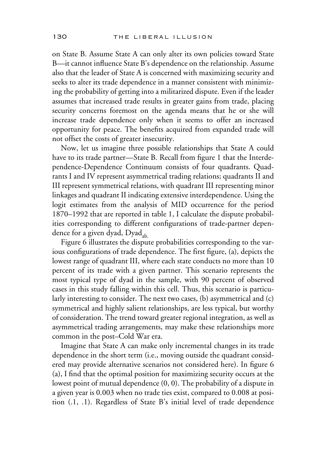on State B. Assume State A can only alter its own policies toward State B—it cannot influence State B's dependence on the relationship. Assume also that the leader of State A is concerned with maximizing security and seeks to alter its trade dependence in a manner consistent with minimizing the probability of getting into a militarized dispute. Even if the leader assumes that increased trade results in greater gains from trade, placing security concerns foremost on the agenda means that he or she will increase trade dependence only when it seems to offer an increased opportunity for peace. The benefits acquired from expanded trade will not offset the costs of greater insecurity.

Now, let us imagine three possible relationships that State A could have to its trade partner—State B. Recall from figure 1 that the Interdependence-Dependence Continuum consists of four quadrants. Quadrants I and IV represent asymmetrical trading relations; quadrants II and III represent symmetrical relations, with quadrant III representing minor linkages and quadrant II indicating extensive interdependence. Using the logit estimates from the analysis of MID occurrence for the period 1870–1992 that are reported in table 1, I calculate the dispute probabilities corresponding to different configurations of trade-partner dependence for a given dyad, Dyad<sub>ab</sub>

Figure 6 illustrates the dispute probabilities corresponding to the various configurations of trade dependence. The first figure, (a), depicts the lowest range of quadrant III, where each state conducts no more than 10 percent of its trade with a given partner. This scenario represents the most typical type of dyad in the sample, with 90 percent of observed cases in this study falling within this cell. Thus, this scenario is particularly interesting to consider. The next two cases, (b) asymmetrical and (c) symmetrical and highly salient relationships, are less typical, but worthy of consideration. The trend toward greater regional integration, as well as asymmetrical trading arrangements, may make these relationships more common in the post–Cold War era.

Imagine that State A can make only incremental changes in its trade dependence in the short term (i.e., moving outside the quadrant considered may provide alternative scenarios not considered here). In figure 6  $(a)$ , I find that the optimal position for maximizing security occurs at the lowest point of mutual dependence (0, 0). The probability of a dispute in a given year is 0.003 when no trade ties exist, compared to 0.008 at position (.1, .1). Regardless of State B's initial level of trade dependence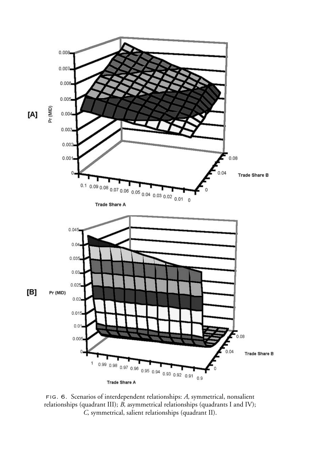

fig. 6. Scenarios of interdependent relationships: *A,* symmetrical, nonsalient relationships (quadrant III); *B,* asymmetrical relationships (quadrants I and IV); *C,* symmetrical, salient relationships (quadrant II).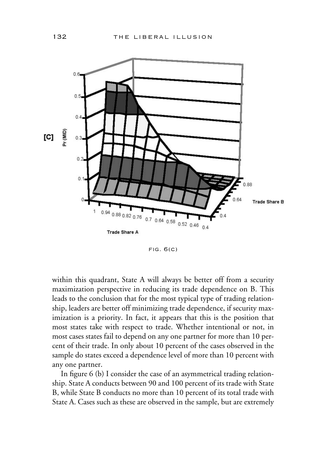

 $FIG. 6(C)$ 

within this quadrant, State A will always be better off from a security maximization perspective in reducing its trade dependence on B. This leads to the conclusion that for the most typical type of trading relationship, leaders are better off minimizing trade dependence, if security maximization is a priority. In fact, it appears that this is the position that most states take with respect to trade. Whether intentional or not, in most cases states fail to depend on any one partner for more than 10 percent of their trade. In only about 10 percent of the cases observed in the sample do states exceed a dependence level of more than 10 percent with any one partner.

In figure 6 (b) I consider the case of an asymmetrical trading relationship. State A conducts between 90 and 100 percent of its trade with State B, while State B conducts no more than 10 percent of its total trade with State A. Cases such as these are observed in the sample, but are extremely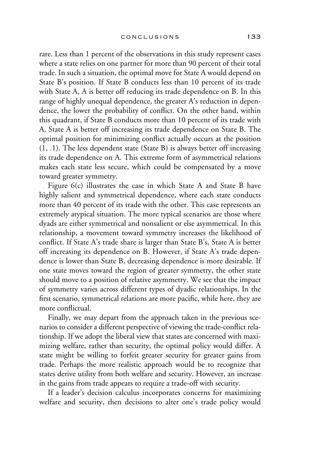rare. Less than 1 percent of the observations in this study represent cases where a state relies on one partner for more than 90 percent of their total trade. In such a situation, the optimal move for State A would depend on State B's position. If State B conducts less than 10 percent of its trade with State A, A is better off reducing its trade dependence on B. In this range of highly unequal dependence, the greater A's reduction in dependence, the lower the probability of conflict. On the other hand, within this quadrant, if State B conducts more than 10 percent of its trade with A, State A is better off increasing its trade dependence on State B. The optimal position for minimizing conflict actually occurs at the position (1, .1). The less dependent state (State B) is always better off increasing its trade dependence on A. This extreme form of asymmetrical relations makes each state less secure, which could be compensated by a move toward greater symmetry.

Figure 6(c) illustrates the case in which State A and State B have highly salient and symmetrical dependence, where each state conducts more than 40 percent of its trade with the other. This case represents an extremely atypical situation. The more typical scenarios are those where dyads are either symmetrical and nonsalient or else asymmetrical. In this relationship, a movement toward symmetry increases the likelihood of conflict. If State A's trade share is larger than State B's, State A is better off increasing its dependence on B. However, if State A's trade dependence is lower than State B, decreasing dependence is more desirable. If one state moves toward the region of greater symmetry, the other state should move to a position of relative asymmetry. We see that the impact of symmetry varies across different types of dyadic relationships. In the first scenario, symmetrical relations are more pacific, while here, they are more conflictual.

Finally, we may depart from the approach taken in the previous scenarios to consider a different perspective of viewing the trade-conflict relationship. If we adopt the liberal view that states are concerned with maximizing welfare, rather than security, the optimal policy would differ. A state might be willing to forfeit greater security for greater gains from trade. Perhaps the more realistic approach would be to recognize that states derive utility from both welfare and security. However, an increase in the gains from trade appears to require a trade-off with security.

If a leader's decision calculus incorporates concerns for maximizing welfare and security, then decisions to alter one's trade policy would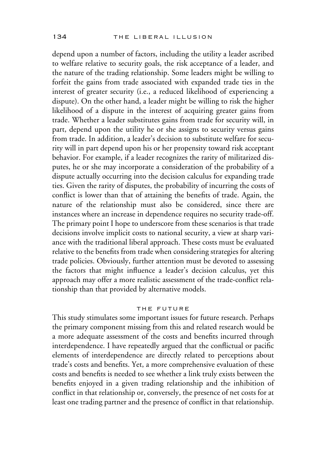depend upon a number of factors, including the utility a leader ascribed to welfare relative to security goals, the risk acceptance of a leader, and the nature of the trading relationship. Some leaders might be willing to forfeit the gains from trade associated with expanded trade ties in the interest of greater security (i.e., a reduced likelihood of experiencing a dispute). On the other hand, a leader might be willing to risk the higher likelihood of a dispute in the interest of acquiring greater gains from trade. Whether a leader substitutes gains from trade for security will, in part, depend upon the utility he or she assigns to security versus gains from trade. In addition, a leader's decision to substitute welfare for security will in part depend upon his or her propensity toward risk acceptant behavior. For example, if a leader recognizes the rarity of militarized disputes, he or she may incorporate a consideration of the probability of a dispute actually occurring into the decision calculus for expanding trade ties. Given the rarity of disputes, the probability of incurring the costs of conflict is lower than that of attaining the benefits of trade. Again, the nature of the relationship must also be considered, since there are instances where an increase in dependence requires no security trade-off. The primary point I hope to underscore from these scenarios is that trade decisions involve implicit costs to national security, a view at sharp variance with the traditional liberal approach. These costs must be evaluated relative to the benefits from trade when considering strategies for altering trade policies. Obviously, further attention must be devoted to assessing the factors that might influence a leader's decision calculus, yet this approach may offer a more realistic assessment of the trade-conflict relationship than that provided by alternative models.

### THE FUTURE

This study stimulates some important issues for future research. Perhaps the primary component missing from this and related research would be a more adequate assessment of the costs and benefits incurred through interdependence. I have repeatedly argued that the conflictual or pacific elements of interdependence are directly related to perceptions about trade's costs and benefits. Yet, a more comprehensive evaluation of these costs and benefits is needed to see whether a link truly exists between the benefits enjoyed in a given trading relationship and the inhibition of conflict in that relationship or, conversely, the presence of net costs for at least one trading partner and the presence of conflict in that relationship.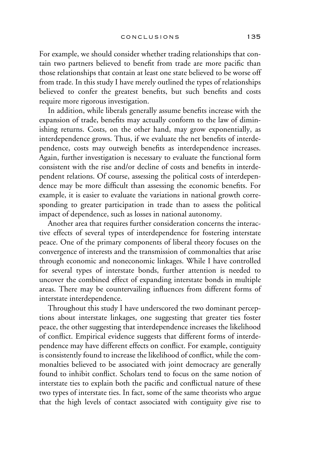For example, we should consider whether trading relationships that contain two partners believed to benefit from trade are more pacific than those relationships that contain at least one state believed to be worse off from trade. In this study I have merely outlined the types of relationships believed to confer the greatest benefits, but such benefits and costs require more rigorous investigation.

In addition, while liberals generally assume benefits increase with the expansion of trade, benefits may actually conform to the law of diminishing returns. Costs, on the other hand, may grow exponentially, as interdependence grows. Thus, if we evaluate the net benefits of interdependence, costs may outweigh benefits as interdependence increases. Again, further investigation is necessary to evaluate the functional form consistent with the rise and/or decline of costs and benefits in interdependent relations. Of course, assessing the political costs of interdependence may be more difficult than assessing the economic benefits. For example, it is easier to evaluate the variations in national growth corresponding to greater participation in trade than to assess the political impact of dependence, such as losses in national autonomy.

Another area that requires further consideration concerns the interactive effects of several types of interdependence for fostering interstate peace. One of the primary components of liberal theory focuses on the convergence of interests and the transmission of commonalties that arise through economic and noneconomic linkages. While I have controlled for several types of interstate bonds, further attention is needed to uncover the combined effect of expanding interstate bonds in multiple areas. There may be countervailing influences from different forms of interstate interdependence.

Throughout this study I have underscored the two dominant perceptions about interstate linkages, one suggesting that greater ties foster peace, the other suggesting that interdependence increases the likelihood of conflict. Empirical evidence suggests that different forms of interdependence may have different effects on conflict. For example, contiguity is consistently found to increase the likelihood of conflict, while the commonalties believed to be associated with joint democracy are generally found to inhibit conflict. Scholars tend to focus on the same notion of interstate ties to explain both the pacific and conflictual nature of these two types of interstate ties. In fact, some of the same theorists who argue that the high levels of contact associated with contiguity give rise to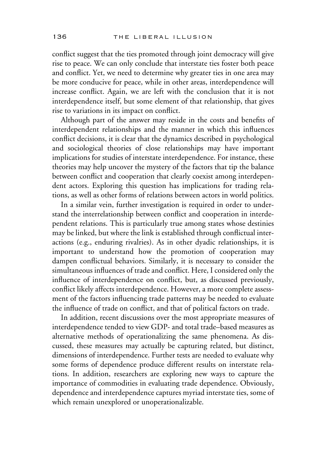conflict suggest that the ties promoted through joint democracy will give rise to peace. We can only conclude that interstate ties foster both peace and conflict. Yet, we need to determine why greater ties in one area may be more conducive for peace, while in other areas, interdependence will increase conflict. Again, we are left with the conclusion that it is not interdependence itself, but some element of that relationship, that gives rise to variations in its impact on conflict.

Although part of the answer may reside in the costs and benefits of interdependent relationships and the manner in which this influences conflict decisions, it is clear that the dynamics described in psychological and sociological theories of close relationships may have important implications for studies of interstate interdependence. For instance, these theories may help uncover the mystery of the factors that tip the balance between conflict and cooperation that clearly coexist among interdependent actors. Exploring this question has implications for trading relations, as well as other forms of relations between actors in world politics.

In a similar vein, further investigation is required in order to understand the interrelationship between conflict and cooperation in interdependent relations. This is particularly true among states whose destinies may be linked, but where the link is established through conflictual interactions (e.g., enduring rivalries). As in other dyadic relationships, it is important to understand how the promotion of cooperation may dampen conflictual behaviors. Similarly, it is necessary to consider the simultaneous influences of trade and conflict. Here, I considered only the influence of interdependence on conflict, but, as discussed previously, conflict likely affects interdependence. However, a more complete assessment of the factors influencing trade patterns may be needed to evaluate the influence of trade on conflict, and that of political factors on trade.

In addition, recent discussions over the most appropriate measures of interdependence tended to view GDP- and total trade–based measures as alternative methods of operationalizing the same phenomena. As discussed, these measures may actually be capturing related, but distinct, dimensions of interdependence. Further tests are needed to evaluate why some forms of dependence produce different results on interstate relations. In addition, researchers are exploring new ways to capture the importance of commodities in evaluating trade dependence. Obviously, dependence and interdependence captures myriad interstate ties, some of which remain unexplored or unoperationalizable.